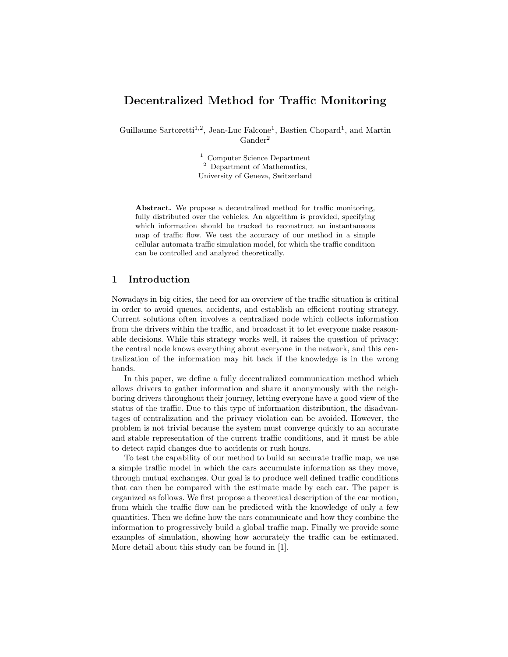# Decentralized Method for Traffic Monitoring

Guillaume Sartoretti<sup>1,2</sup>, Jean-Luc Falcone<sup>1</sup>, Bastien Chopard<sup>1</sup>, and Martin  $Gander<sup>2</sup>$ 

> <sup>1</sup> Computer Science Department <sup>2</sup> Department of Mathematics, University of Geneva, Switzerland

Abstract. We propose a decentralized method for traffic monitoring, fully distributed over the vehicles. An algorithm is provided, specifying which information should be tracked to reconstruct an instantaneous map of traffic flow. We test the accuracy of our method in a simple cellular automata traffic simulation model, for which the traffic condition can be controlled and analyzed theoretically.

# 1 Introduction

Nowadays in big cities, the need for an overview of the traffic situation is critical in order to avoid queues, accidents, and establish an efficient routing strategy. Current solutions often involves a centralized node which collects information from the drivers within the traffic, and broadcast it to let everyone make reasonable decisions. While this strategy works well, it raises the question of privacy: the central node knows everything about everyone in the network, and this centralization of the information may hit back if the knowledge is in the wrong hands.

In this paper, we define a fully decentralized communication method which allows drivers to gather information and share it anonymously with the neighboring drivers throughout their journey, letting everyone have a good view of the status of the traffic. Due to this type of information distribution, the disadvantages of centralization and the privacy violation can be avoided. However, the problem is not trivial because the system must converge quickly to an accurate and stable representation of the current traffic conditions, and it must be able to detect rapid changes due to accidents or rush hours.

To test the capability of our method to build an accurate traffic map, we use a simple traffic model in which the cars accumulate information as they move, through mutual exchanges. Our goal is to produce well defined traffic conditions that can then be compared with the estimate made by each car. The paper is organized as follows. We first propose a theoretical description of the car motion, from which the traffic flow can be predicted with the knowledge of only a few quantities. Then we define how the cars communicate and how they combine the information to progressively build a global traffic map. Finally we provide some examples of simulation, showing how accurately the traffic can be estimated. More detail about this study can be found in [1].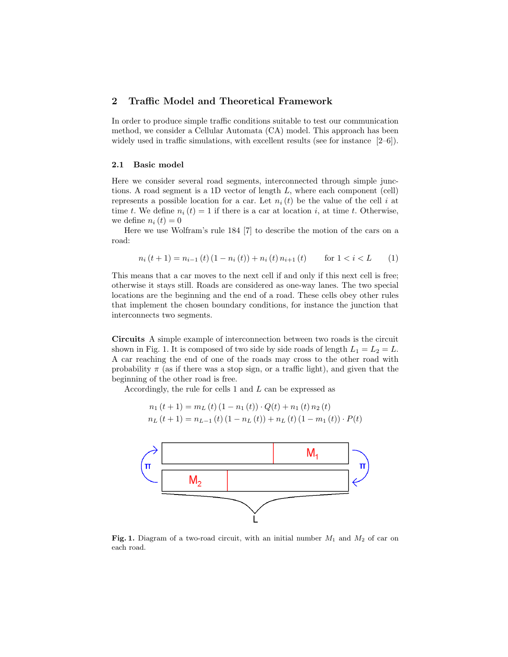# 2 Traffic Model and Theoretical Framework

In order to produce simple traffic conditions suitable to test our communication method, we consider a Cellular Automata (CA) model. This approach has been widely used in traffic simulations, with excellent results (see for instance  $[2-6]$ ).

### 2.1 Basic model

Here we consider several road segments, interconnected through simple junctions. A road segment is a 1D vector of length L, where each component (cell) represents a possible location for a car. Let  $n_i(t)$  be the value of the cell i at time t. We define  $n_i(t) = 1$  if there is a car at location i, at time t. Otherwise, we define  $n_i(t) = 0$ 

Here we use Wolfram's rule 184 [7] to describe the motion of the cars on a road:

$$
n_i(t+1) = n_{i-1}(t)(1 - n_i(t)) + n_i(t)n_{i+1}(t) \qquad \text{for } 1 < i < L \tag{1}
$$

This means that a car moves to the next cell if and only if this next cell is free; otherwise it stays still. Roads are considered as one-way lanes. The two special locations are the beginning and the end of a road. These cells obey other rules that implement the chosen boundary conditions, for instance the junction that interconnects two segments.

Circuits A simple example of interconnection between two roads is the circuit shown in Fig. 1. It is composed of two side by side roads of length  $L_1 = L_2 = L$ . A car reaching the end of one of the roads may cross to the other road with probability  $\pi$  (as if there was a stop sign, or a traffic light), and given that the beginning of the other road is free.

Accordingly, the rule for cells  $1$  and  $L$  can be expressed as

$$
n_1(t+1) = m_L(t) (1 - n_1(t)) \cdot Q(t) + n_1(t) n_2(t)
$$
  
\n
$$
n_L(t+1) = n_{L-1}(t) (1 - n_L(t)) + n_L(t) (1 - m_1(t)) \cdot P(t)
$$



Fig. 1. Diagram of a two-road circuit, with an initial number  $M_1$  and  $M_2$  of car on each road.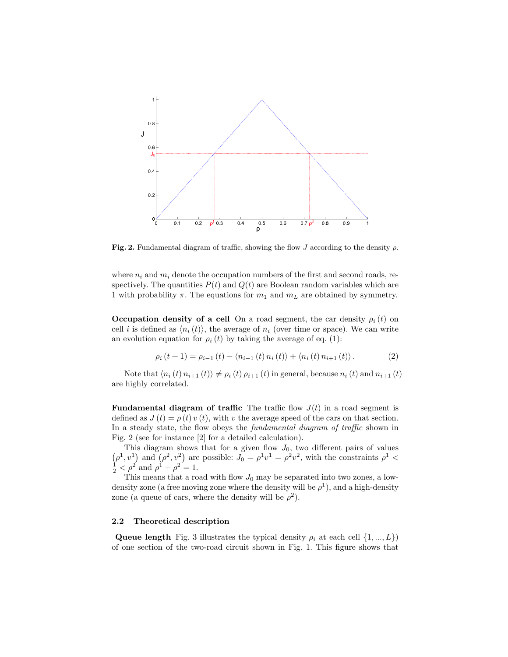

Fig. 2. Fundamental diagram of traffic, showing the flow J according to the density  $\rho$ .

where  $n_i$  and  $m_i$  denote the occupation numbers of the first and second roads, respectively. The quantities  $P(t)$  and  $Q(t)$  are Boolean random variables which are 1 with probability  $\pi$ . The equations for  $m_1$  and  $m_L$  are obtained by symmetry.

Occupation density of a cell On a road segment, the car density  $\rho_i(t)$  on cell *i* is defined as  $\langle n_i (t) \rangle$ , the average of  $n_i$  (over time or space). We can write an evolution equation for  $\rho_i(t)$  by taking the average of eq. (1):

$$
\rho_i(t+1) = \rho_{i-1}(t) - \langle n_{i-1}(t) n_i(t) \rangle + \langle n_i(t) n_{i+1}(t) \rangle.
$$
 (2)

Note that  $\langle n_i (t) n_{i+1} (t) \rangle \neq \rho_i (t) \rho_{i+1} (t)$  in general, because  $n_i (t)$  and  $n_{i+1} (t)$ are highly correlated.

**Fundamental diagram of traffic** The traffic flow  $J(t)$  in a road segment is defined as  $J(t) = \rho(t) v(t)$ , with v the average speed of the cars on that section. In a steady state, the flow obeys the *fundamental diagram of traffic* shown in Fig. 2 (see for instance [2] for a detailed calculation).

This diagram shows that for a given flow  $J_0$ , two different pairs of values  $(\rho^1, v^1)$  and  $(\rho^2, v^2)$  are possible:  $J_0 = \rho^1 v^1 = \rho^2 v^2$ , with the constraints  $\rho^1 < \frac{1}{2} < \rho^2$  and  $\rho^1 + \rho^2 = 1$ .

This means that a road with flow  $J_0$  may be separated into two zones, a lowdensity zone (a free moving zone where the density will be  $\rho^1$ ), and a high-density zone (a queue of cars, where the density will be  $\rho^2$ ).

### 2.2 Theoretical description

Queue length Fig. 3 illustrates the typical density  $\rho_i$  at each cell  $\{1, ..., L\}$ ) of one section of the two-road circuit shown in Fig. 1. This figure shows that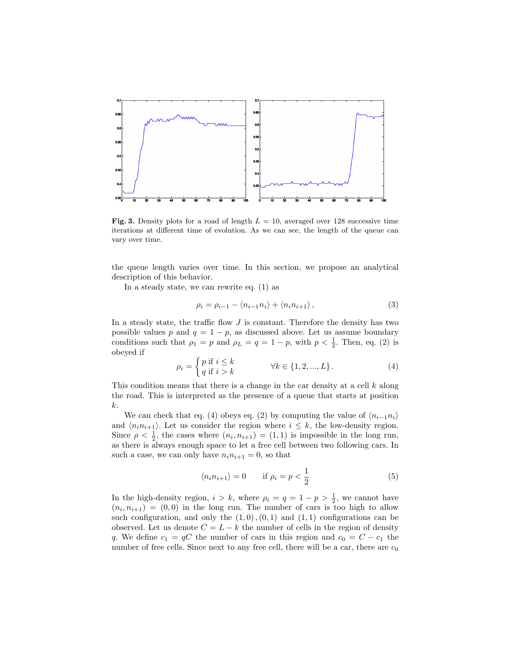

Fig. 3. Density plots for a road of length  $L = 10$ , averaged over 128 successive time iterations at different time of evolution. As we can see, the length of the queue can vary over time.

the queue length varies over time. In this section, we propose an analytical description of this behavior.

In a steady state, we can rewrite eq. (1) as

$$
\rho_i = \rho_{i-1} - \langle n_{i-1} n_i \rangle + \langle n_i n_{i+1} \rangle, \tag{3}
$$

In a steady state, the traffic flow  $J$  is constant. Therefore the density has two possible values p and  $q = 1 - p$ , as discussed above. Let us assume boundary conditions such that  $\rho_1 = p$  and  $\rho_L = q = 1 - p$ , with  $p < \frac{1}{2}$ . Then, eq. (2) is obeyed if

$$
\rho_i = \begin{cases} p \text{ if } i \le k \\ q \text{ if } i > k \end{cases} \qquad \forall k \in \{1, 2, ..., L\}.
$$
 (4)

This condition means that there is a change in the car density at a cell  $k$  along the road. This is interpreted as the presence of a queue that starts at position k.

We can check that eq. (4) obeys eq. (2) by computing the value of  $\langle n_{i-1}n_i \rangle$ and  $\langle n_i n_{i+1} \rangle$ . Let us consider the region where  $i \leq k$ , the low-density region. Since  $\rho < \frac{1}{2}$ , the cases where  $(n_i, n_{i+1}) = (1, 1)$  is impossible in the long run, as there is always enough space to let a free cell between two following cars. In such a case, we can only have  $n_i n_{i+1} = 0$ , so that

$$
\langle n_i n_{i+1} \rangle = 0 \qquad \text{if } \rho_i = p < \frac{1}{2} \tag{5}
$$

In the high-density region,  $i > k$ , where  $\rho_i = q = 1 - p > \frac{1}{2}$ , we cannot have  $(n_i, n_{i+1}) = (0, 0)$  in the long run. The number of cars is too high to allow such configuration, and only the  $(1,0)$ ,  $(0,1)$  and  $(1,1)$  configurations can be observed. Let us denote  $C = L - k$  the number of cells in the region of density q. We define  $c_1 = qC$  the number of cars in this region and  $c_0 = C - c_1$  the number of free cells. Since next to any free cell, there will be a car, there are  $c_0$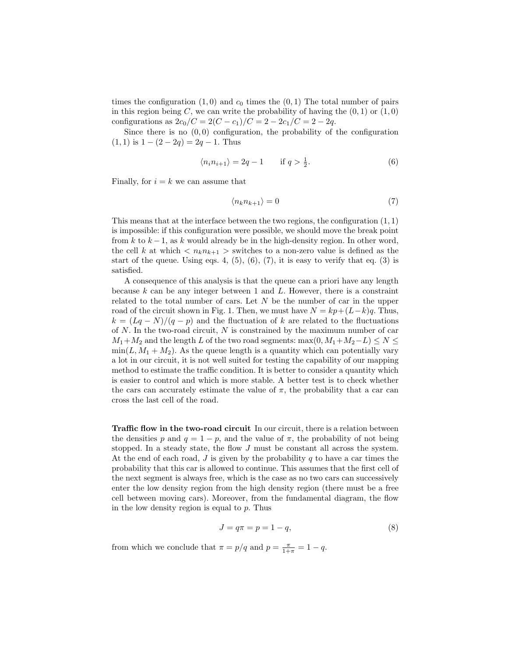times the configuration  $(1,0)$  and  $c_0$  times the  $(0,1)$  The total number of pairs in this region being C, we can write the probability of having the  $(0, 1)$  or  $(1, 0)$ configurations as  $2c_0/C = 2(C - c_1)/C = 2 - 2c_1/C = 2 - 2q$ .

Since there is no  $(0, 0)$  configuration, the probability of the configuration  $(1, 1)$  is  $1 - (2 - 2q) = 2q - 1$ . Thus

$$
\langle n_i n_{i+1} \rangle = 2q - 1 \qquad \text{if } q > \frac{1}{2}.\tag{6}
$$

Finally, for  $i = k$  we can assume that

$$
\langle n_k n_{k+1} \rangle = 0 \tag{7}
$$

This means that at the interface between the two regions, the configuration  $(1, 1)$ is impossible: if this configuration were possible, we should move the break point from k to  $k-1$ , as k would already be in the high-density region. In other word, the cell k at which  $\langle n_k n_{k+1} \rangle$  switches to a non-zero value is defined as the start of the queue. Using eqs. 4,  $(5)$ ,  $(6)$ ,  $(7)$ , it is easy to verify that eq.  $(3)$  is satisfied.

A consequence of this analysis is that the queue can a priori have any length because  $k$  can be any integer between 1 and  $L$ . However, there is a constraint related to the total number of cars. Let  $N$  be the number of car in the upper road of the circuit shown in Fig. 1. Then, we must have  $N = kp + (L-k)q$ . Thus,  $k = (Lq - N)/(q - p)$  and the fluctuation of k are related to the fluctuations of  $N$ . In the two-road circuit,  $N$  is constrained by the maximum number of car  $M_1+M_2$  and the length L of the two road segments: max $(0, M_1+M_2-L) \leq N \leq$  $min(L, M_1 + M_2)$ . As the queue length is a quantity which can potentially vary a lot in our circuit, it is not well suited for testing the capability of our mapping method to estimate the traffic condition. It is better to consider a quantity which is easier to control and which is more stable. A better test is to check whether the cars can accurately estimate the value of  $\pi$ , the probability that a car can cross the last cell of the road.

Traffic flow in the two-road circuit In our circuit, there is a relation between the densities p and  $q = 1 - p$ , and the value of  $\pi$ , the probability of not being stopped. In a steady state, the flow J must be constant all across the system. At the end of each road,  $J$  is given by the probability  $q$  to have a car times the probability that this car is allowed to continue. This assumes that the first cell of the next segment is always free, which is the case as no two cars can successively enter the low density region from the high density region (there must be a free cell between moving cars). Moreover, from the fundamental diagram, the flow in the low density region is equal to  $p$ . Thus

$$
J = q\pi = p = 1 - q,\tag{8}
$$

from which we conclude that  $\pi = p/q$  and  $p = \frac{\pi}{1+\pi} = 1 - q$ .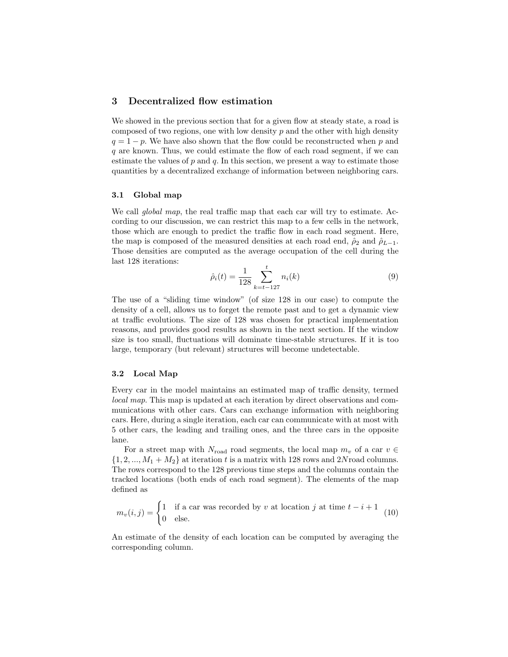# 3 Decentralized flow estimation

We showed in the previous section that for a given flow at steady state, a road is composed of two regions, one with low density  $p$  and the other with high density  $q = 1 - p$ . We have also shown that the flow could be reconstructed when p and  $q$  are known. Thus, we could estimate the flow of each road segment, if we can estimate the values of  $p$  and  $q$ . In this section, we present a way to estimate those quantities by a decentralized exchange of information between neighboring cars.

### 3.1 Global map

We call *global map*, the real traffic map that each car will try to estimate. According to our discussion, we can restrict this map to a few cells in the network, those which are enough to predict the traffic flow in each road segment. Here, the map is composed of the measured densities at each road end,  $\hat{\rho}_2$  and  $\hat{\rho}_{L-1}$ . Those densities are computed as the average occupation of the cell during the last 128 iterations:

$$
\hat{\rho}_i(t) = \frac{1}{128} \sum_{k=t-127}^t n_i(k) \tag{9}
$$

The use of a "sliding time window" (of size 128 in our case) to compute the density of a cell, allows us to forget the remote past and to get a dynamic view at traffic evolutions. The size of 128 was chosen for practical implementation reasons, and provides good results as shown in the next section. If the window size is too small, fluctuations will dominate time-stable structures. If it is too large, temporary (but relevant) structures will become undetectable.

#### 3.2 Local Map

Every car in the model maintains an estimated map of traffic density, termed local map. This map is updated at each iteration by direct observations and communications with other cars. Cars can exchange information with neighboring cars. Here, during a single iteration, each car can communicate with at most with 5 other cars, the leading and trailing ones, and the three cars in the opposite lane.

For a street map with  $N_{\text{road}}$  road segments, the local map  $m_v$  of a car  $v \in$  $\{1, 2, ..., M_1 + M_2\}$  at iteration t is a matrix with 128 rows and 2Nroad columns. The rows correspond to the 128 previous time steps and the columns contain the tracked locations (both ends of each road segment). The elements of the map defined as

$$
m_v(i,j) = \begin{cases} 1 & \text{if a car was recorded by } v \text{ at location } j \text{ at time } t - i + 1 \\ 0 & \text{else.} \end{cases}
$$
 (10)

An estimate of the density of each location can be computed by averaging the corresponding column.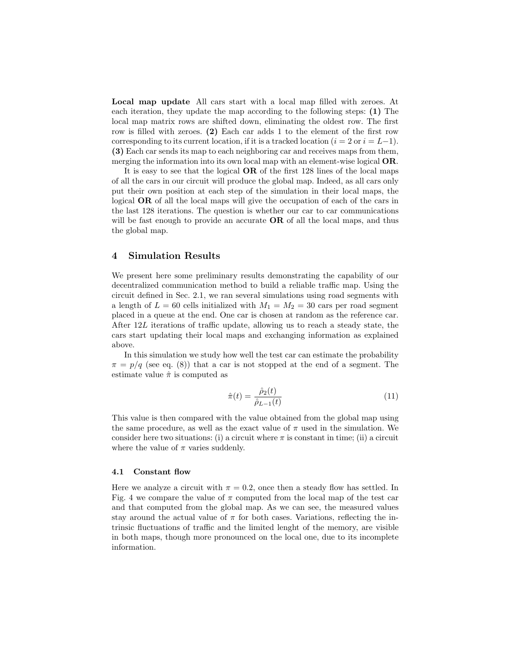Local map update All cars start with a local map filled with zeroes. At each iteration, they update the map according to the following steps: (1) The local map matrix rows are shifted down, eliminating the oldest row. The first row is filled with zeroes. (2) Each car adds 1 to the element of the first row corresponding to its current location, if it is a tracked location ( $i = 2$  or  $i = L-1$ ). (3) Each car sends its map to each neighboring car and receives maps from them, merging the information into its own local map with an element-wise logical **OR**.

It is easy to see that the logical OR of the first 128 lines of the local maps of all the cars in our circuit will produce the global map. Indeed, as all cars only put their own position at each step of the simulation in their local maps, the logical OR of all the local maps will give the occupation of each of the cars in the last 128 iterations. The question is whether our car to car communications will be fast enough to provide an accurate  $OR$  of all the local maps, and thus the global map.

## 4 Simulation Results

We present here some preliminary results demonstrating the capability of our decentralized communication method to build a reliable traffic map. Using the circuit defined in Sec. 2.1, we ran several simulations using road segments with a length of  $L = 60$  cells initialized with  $M_1 = M_2 = 30$  cars per road segment placed in a queue at the end. One car is chosen at random as the reference car. After 12L iterations of traffic update, allowing us to reach a steady state, the cars start updating their local maps and exchanging information as explained above.

In this simulation we study how well the test car can estimate the probability  $\pi = p/q$  (see eq. (8)) that a car is not stopped at the end of a segment. The estimate value  $\hat{\pi}$  is computed as

$$
\hat{\pi}(t) = \frac{\hat{\rho}_2(t)}{\hat{\rho}_{L-1}(t)}\tag{11}
$$

This value is then compared with the value obtained from the global map using the same procedure, as well as the exact value of  $\pi$  used in the simulation. We consider here two situations: (i) a circuit where  $\pi$  is constant in time; (ii) a circuit where the value of  $\pi$  varies suddenly.

#### 4.1 Constant flow

Here we analyze a circuit with  $\pi = 0.2$ , once then a steady flow has settled. In Fig. 4 we compare the value of  $\pi$  computed from the local map of the test car and that computed from the global map. As we can see, the measured values stay around the actual value of  $\pi$  for both cases. Variations, reflecting the intrinsic fluctuations of traffic and the limited lenght of the memory, are visible in both maps, though more pronounced on the local one, due to its incomplete information.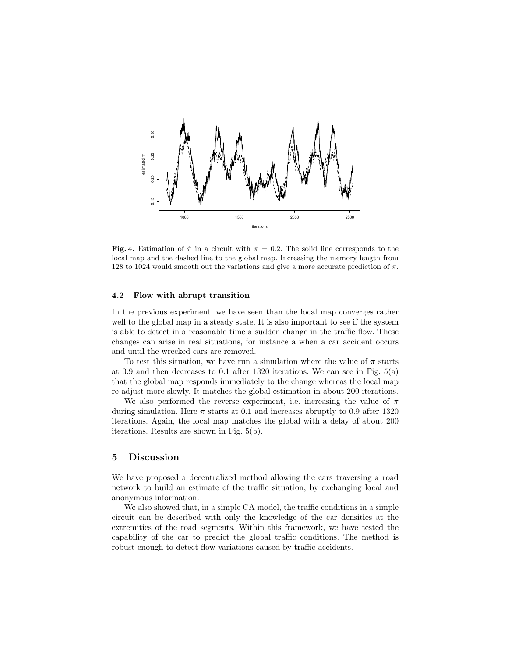

Fig. 4. Estimation of  $\hat{\pi}$  in a circuit with  $\pi = 0.2$ . The solid line corresponds to the local map and the dashed line to the global map. Increasing the memory length from 128 to 1024 would smooth out the variations and give a more accurate prediction of  $\pi$ .

### 4.2 Flow with abrupt transition

In the previous experiment, we have seen than the local map converges rather well to the global map in a steady state. It is also important to see if the system is able to detect in a reasonable time a sudden change in the traffic flow. These changes can arise in real situations, for instance a when a car accident occurs and until the wrecked cars are removed.

To test this situation, we have run a simulation where the value of  $\pi$  starts at 0.9 and then decreases to 0.1 after 1320 iterations. We can see in Fig. 5(a) that the global map responds immediately to the change whereas the local map re-adjust more slowly. It matches the global estimation in about 200 iterations.

We also performed the reverse experiment, i.e. increasing the value of  $\pi$ during simulation. Here  $\pi$  starts at 0.1 and increases abruptly to 0.9 after 1320 iterations. Again, the local map matches the global with a delay of about 200 iterations. Results are shown in Fig. 5(b).

### 5 Discussion

We have proposed a decentralized method allowing the cars traversing a road network to build an estimate of the traffic situation, by exchanging local and anonymous information.

We also showed that, in a simple CA model, the traffic conditions in a simple circuit can be described with only the knowledge of the car densities at the extremities of the road segments. Within this framework, we have tested the capability of the car to predict the global traffic conditions. The method is robust enough to detect flow variations caused by traffic accidents.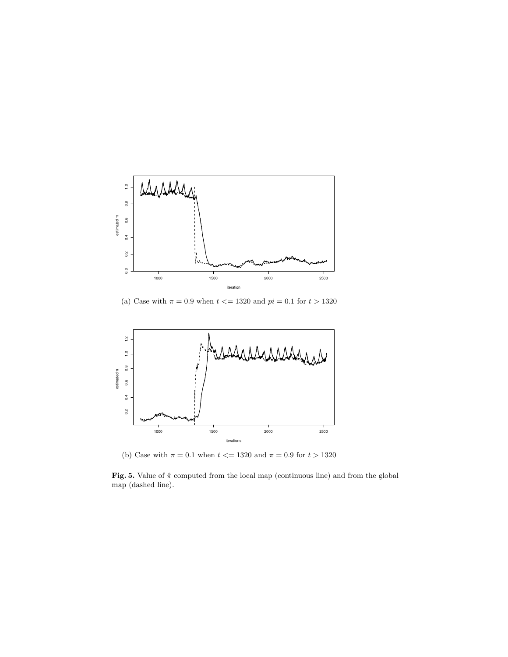

(a) Case with  $\pi = 0.9$  when  $t \le 1320$  and  $pi = 0.1$  for  $t > 1320$ 



(b) Case with  $\pi = 0.1$  when  $t \le 1320$  and  $\pi = 0.9$  for  $t > 1320$ 

Fig. 5. Value of  $\hat{\pi}$  computed from the local map (continuous line) and from the global map (dashed line).